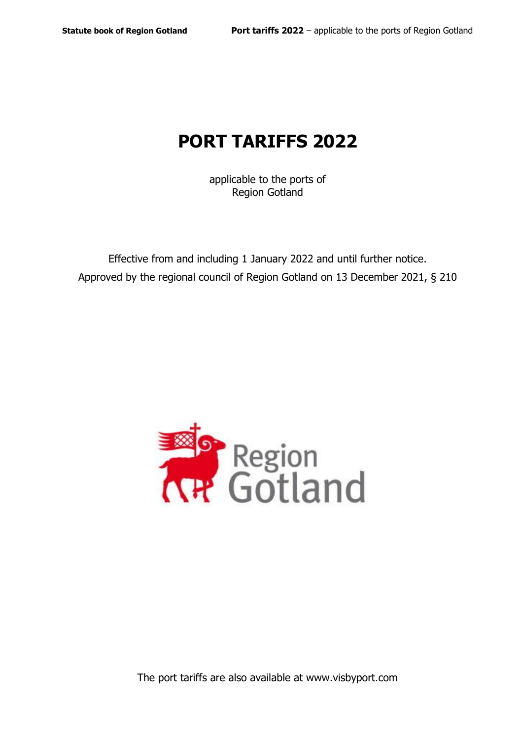# **PORT TARIFFS 2022**

applicable to the ports of Region Gotland

Effective from and including 1 January 2022 and until further notice. Approved by the regional council of Region Gotland on 13 December 2021, § 210

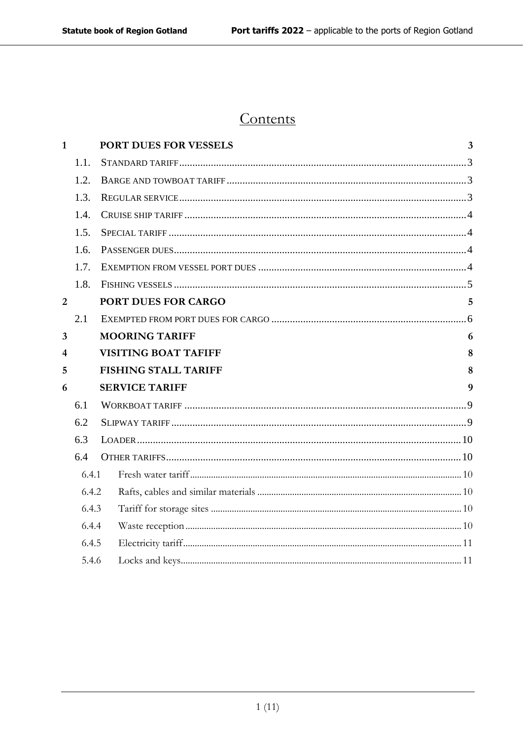# Contents

| $\mathbf{1}$   |       | <b>PORT DUES FOR VESSELS</b> | $\overline{3}$ |
|----------------|-------|------------------------------|----------------|
|                | 1.1.  |                              |                |
|                | 1.2.  |                              |                |
|                | 1.3.  |                              |                |
|                | 1.4.  |                              |                |
|                | 1.5.  |                              |                |
|                | 1.6.  |                              |                |
|                | 1.7.  |                              |                |
|                | 1.8.  |                              |                |
| $\overline{2}$ |       | PORT DUES FOR CARGO          | 5              |
|                | 2.1   |                              |                |
| 3              |       | <b>MOORING TARIFF</b>        | 6              |
| 4              |       | <b>VISITING BOAT TAFIFF</b>  | 8              |
| 5              |       | <b>FISHING STALL TARIFF</b>  | 8              |
| 6              |       | <b>SERVICE TARIFF</b>        | 9              |
|                | 6.1   |                              |                |
|                | 6.2   |                              |                |
|                | 6.3   |                              |                |
|                | 6.4   |                              |                |
|                | 6.4.1 |                              |                |
|                | 6.4.2 |                              |                |
|                | 6.4.3 |                              |                |
|                | 6.4.4 |                              |                |
|                | 6.4.5 |                              |                |
|                | 5.4.6 |                              |                |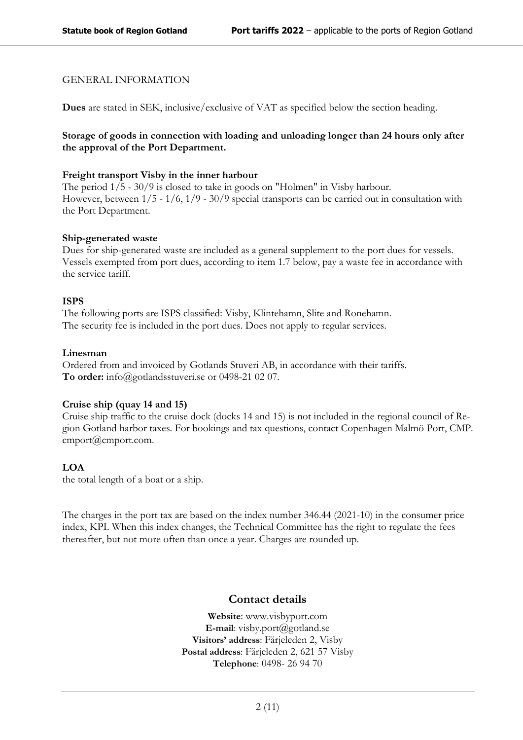#### GENERAL INFORMATION

**Dues** are stated in SEK, inclusive/exclusive of VAT as specified below the section heading.

#### **Storage of goods in connection with loading and unloading longer than 24 hours only after the approval of the Port Department.**

#### **Freight transport Visby in the inner harbour**

The period 1/5 - 30/9 is closed to take in goods on "Holmen" in Visby harbour. However, between 1/5 - 1/6, 1/9 - 30/9 special transports can be carried out in consultation with the Port Department.

#### **Ship-generated waste**

Dues for ship-generated waste are included as a general supplement to the port dues for vessels. Vessels exempted from port dues, according to item 1.7 below, pay a waste fee in accordance with the service tariff.

#### **ISPS**

The following ports are ISPS classified: Visby, Klintehamn, Slite and Ronehamn. The security fee is included in the port dues. Does not apply to regular services.

#### **Linesman**

Ordered from and invoiced by Gotlands Stuveri AB, in accordance with their tariffs. **To order:** [info@gotlandsstuveri.se](mailto:info@gotlandsstuveri.se) or 0498-21 02 07.

#### **Cruise ship (quay 14 and 15)**

Cruise ship traffic to the cruise dock (docks 14 and 15) is not included in the regional council of Region Gotland harbor taxes. For bookings and tax questions, contact Copenhagen Malmö Port, CMP. cmport@cmport.com.

#### **LOA**

the total length of a boat or a ship.

The charges in the port tax are based on the index number 346.44 (2021-10) in the consumer price index, KPI. When this index changes, the Technical Committee has the right to regulate the fees thereafter, but not more often than once a year. Charges are rounded up.

### **Contact details**

**Website**: [www.visbyport.com](http://www.visbyport.com/) **E-mail**: [visby.port@gotland.se](mailto:visby.port@gotland.se) **Visitors' address**: Färjeleden 2, Visby **Postal address**: Färjeleden 2, 621 57 Visby **Telephone**: 0498- 26 94 70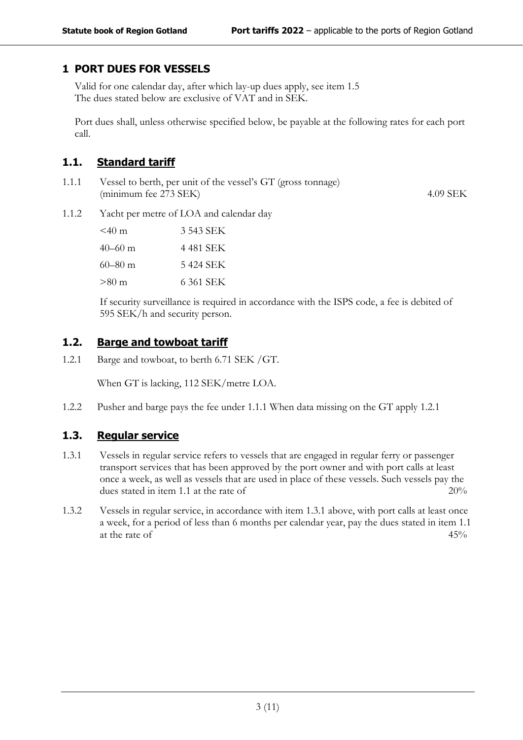# <span id="page-3-0"></span>**1 PORT DUES FOR VESSELS**

Valid for one calendar day, after which lay-up dues apply, see item 1.5 The dues stated below are exclusive of VAT and in SEK.

Port dues shall, unless otherwise specified below, be payable at the following rates for each port call.

# <span id="page-3-1"></span>**1.1. Standard tariff**

1.1.1 Vessel to berth, per unit of the vessel's GT (gross tonnage) (minimum fee 273 SEK) 4.09 SEK

1.1.2 Yacht per metre of LOA and calendar day

| $<$ 40 m | 3 543 SEK |
|----------|-----------|
| 40–60 m  | 4 481 SEK |
| 60–80 m  | 5 424 SEK |
| >80 m    | 6 361 SEK |

If security surveillance is required in accordance with the ISPS code, a fee is debited of 595 SEK/h and security person.

# <span id="page-3-2"></span>**1.2. Barge and towboat tariff**

1.2.1 Barge and towboat, to berth 6.71 SEK /GT.

When GT is lacking, 112 SEK/metre LOA.

<span id="page-3-3"></span>1.2.2 Pusher and barge pays the fee under 1.1.1 When data missing on the GT apply 1.2.1

# **1.3. Regular service**

- 1.3.1 Vessels in regular service refers to vessels that are engaged in regular ferry or passenger transport services that has been approved by the port owner and with port calls at least once a week, as well as vessels that are used in place of these vessels. Such vessels pay the dues stated in item 1.1 at the rate of  $20\%$
- 1.3.2 Vessels in regular service, in accordance with item 1.3.1 above, with port calls at least once a week, for a period of less than 6 months per calendar year, pay the dues stated in item 1.1 at the rate of  $45\%$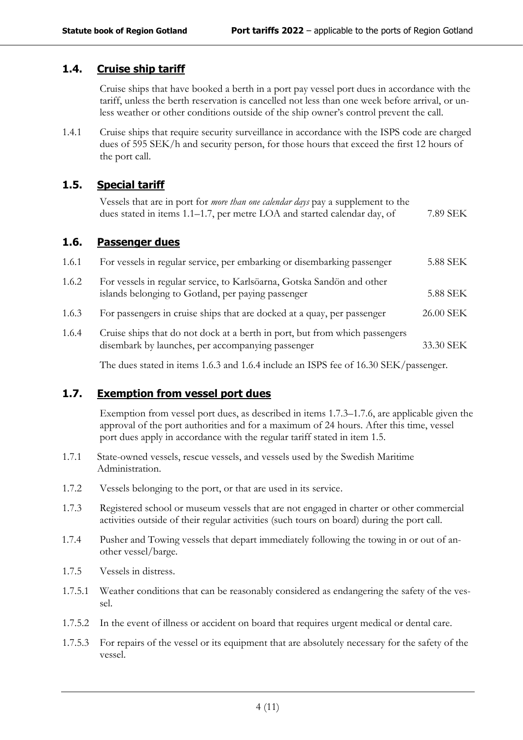# <span id="page-4-0"></span>**1.4. Cruise ship tariff**

Cruise ships that have booked a berth in a port pay vessel port dues in accordance with the tariff, unless the berth reservation is cancelled not less than one week before arrival, or unless weather or other conditions outside of the ship owner's control prevent the call.

1.4.1 Cruise ships that require security surveillance in accordance with the ISPS code are charged dues of 595 SEK/h and security person, for those hours that exceed the first 12 hours of the port call.

# <span id="page-4-1"></span>**1.5. Special tariff**

| Vessels that are in port for <i>more than one calendar days</i> pay a supplement to the |          |
|-----------------------------------------------------------------------------------------|----------|
| dues stated in items 1.1–1.7, per metre LOA and started calendar day, of                | 7.89 SEK |

### <span id="page-4-2"></span>**1.6. Passenger dues**

| 1.6.1 | For vessels in regular service, per embarking or disembarking passenger                                                          | 5.88 SEK  |
|-------|----------------------------------------------------------------------------------------------------------------------------------|-----------|
| 1.6.2 | For vessels in regular service, to Karlsöarna, Gotska Sandön and other<br>islands belonging to Gotland, per paying passenger     | 5.88 SEK  |
| 1.6.3 | For passengers in cruise ships that are docked at a quay, per passenger                                                          | 26.00 SEK |
| 1.6.4 | Cruise ships that do not dock at a berth in port, but from which passengers<br>disembark by launches, per accompanying passenger | 33.30 SEK |

The dues stated in items 1.6.3 and 1.6.4 include an ISPS fee of 16.30 SEK/passenger.

# <span id="page-4-3"></span>**1.7. Exemption from vessel port dues**

Exemption from vessel port dues, as described in items 1.7.3–1.7.6, are applicable given the approval of the port authorities and for a maximum of 24 hours. After this time, vessel port dues apply in accordance with the regular tariff stated in item 1.5.

- 1.7.1 State-owned vessels, rescue vessels, and vessels used by the Swedish Maritime Administration.
- 1.7.2 Vessels belonging to the port, or that are used in its service.
- 1.7.3 Registered school or museum vessels that are not engaged in charter or other commercial activities outside of their regular activities (such tours on board) during the port call.
- 1.7.4 Pusher and Towing vessels that depart immediately following the towing in or out of another vessel/barge.
- 1.7.5 Vessels in distress.
- 1.7.5.1 Weather conditions that can be reasonably considered as endangering the safety of the vessel.
- 1.7.5.2 In the event of illness or accident on board that requires urgent medical or dental care.
- 1.7.5.3 For repairs of the vessel or its equipment that are absolutely necessary for the safety of the vessel.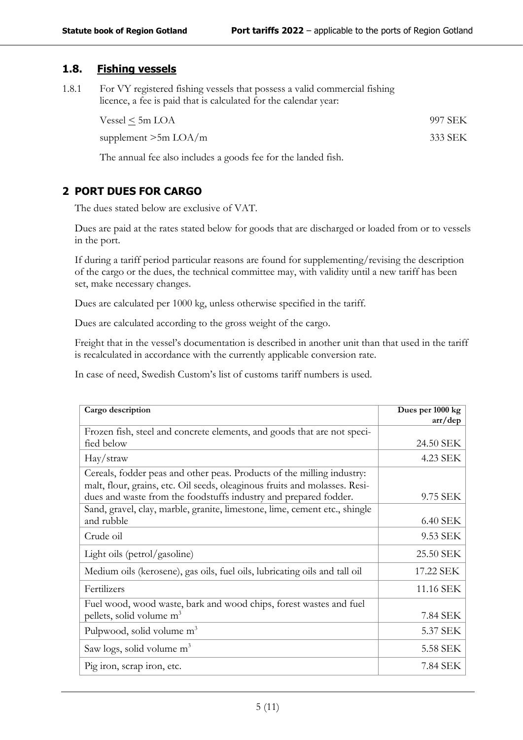# <span id="page-5-0"></span>**1.8. Fishing vessels**

1.8.1 For VY registered fishing vessels that possess a valid commercial fishing licence, a fee is paid that is calculated for the calendar year:

| Vessel $\le$ 5m LOA    | 997 SEK |
|------------------------|---------|
| supplement $>5m$ LOA/m | 333 SEK |

The annual fee also includes a goods fee for the landed fish.

# <span id="page-5-1"></span>**2 PORT DUES FOR CARGO**

The dues stated below are exclusive of VAT.

Dues are paid at the rates stated below for goods that are discharged or loaded from or to vessels in the port.

If during a tariff period particular reasons are found for supplementing/revising the description of the cargo or the dues, the technical committee may, with validity until a new tariff has been set, make necessary changes.

Dues are calculated per 1000 kg, unless otherwise specified in the tariff.

Dues are calculated according to the gross weight of the cargo.

Freight that in the vessel's documentation is described in another unit than that used in the tariff is recalculated in accordance with the currently applicable conversion rate.

In case of need, Swedish Custom's list of customs tariff numbers is used.

| Cargo description                                                          | Dues per 1000 kg<br>$\arctan$ |
|----------------------------------------------------------------------------|-------------------------------|
| Frozen fish, steel and concrete elements, and goods that are not speci-    |                               |
| fied below                                                                 | 24.50 SEK                     |
| Hay/straw                                                                  | 4.23 SEK                      |
| Cereals, fodder peas and other peas. Products of the milling industry:     |                               |
| malt, flour, grains, etc. Oil seeds, oleaginous fruits and molasses. Resi- |                               |
| dues and waste from the foodstuffs industry and prepared fodder.           | 9.75 SEK                      |
| Sand, gravel, clay, marble, granite, limestone, lime, cement etc., shingle |                               |
| and rubble                                                                 | 6.40 SEK                      |
| Crude oil                                                                  | 9.53 SEK                      |
| Light oils (petrol/gasoline)                                               | 25.50 SEK                     |
| Medium oils (kerosene), gas oils, fuel oils, lubricating oils and tall oil | 17.22 SEK                     |
| Fertilizers                                                                | 11.16 SEK                     |
| Fuel wood, wood waste, bark and wood chips, forest wastes and fuel         |                               |
| pellets, solid volume m <sup>3</sup>                                       | 7.84 SEK                      |
| Pulpwood, solid volume m <sup>3</sup>                                      | 5.37 SEK                      |
| Saw logs, solid volume m <sup>3</sup>                                      | 5.58 SEK                      |
| Pig iron, scrap iron, etc.                                                 | 7.84 SEK                      |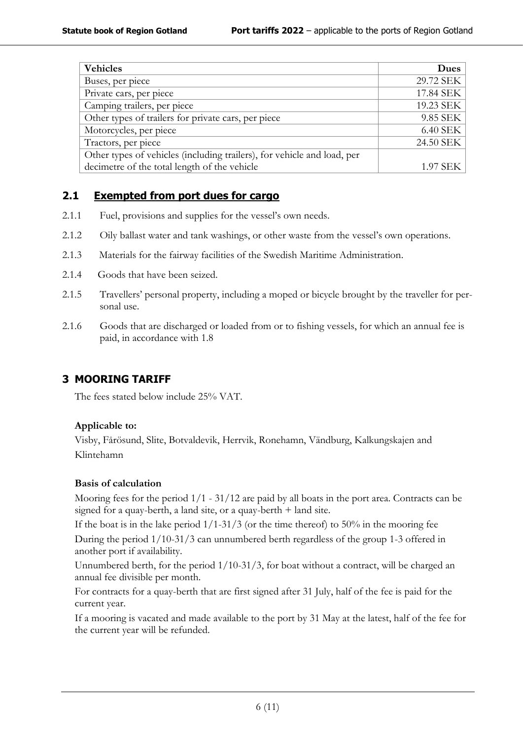| <b>Vehicles</b>                                                         | <b>Dues</b> |
|-------------------------------------------------------------------------|-------------|
| Buses, per piece                                                        | 29.72 SEK   |
| Private cars, per piece                                                 | 17.84 SEK   |
| Camping trailers, per piece                                             | 19.23 SEK   |
| Other types of trailers for private cars, per piece                     | 9.85 SEK    |
| Motorcycles, per piece                                                  | 6.40 SEK    |
| Tractors, per piece                                                     | 24.50 SEK   |
| Other types of vehicles (including trailers), for vehicle and load, per |             |
| decimetre of the total length of the vehicle                            | 1.97 SEK    |

# <span id="page-6-0"></span>**2.1 Exempted from port dues for cargo**

- 2.1.1 Fuel, provisions and supplies for the vessel's own needs.
- 2.1.2 Oily ballast water and tank washings, or other waste from the vessel's own operations.
- 2.1.3 Materials for the fairway facilities of the Swedish Maritime Administration.
- 2.1.4 Goods that have been seized.
- 2.1.5 Travellers' personal property, including a moped or bicycle brought by the traveller for personal use.
- 2.1.6 Goods that are discharged or loaded from or to fishing vessels, for which an annual fee is paid, in accordance with 1.8

# <span id="page-6-1"></span>**3 MOORING TARIFF**

The fees stated below include 25% VAT.

# **Applicable to:**

Visby, Fårösund, Slite, Botvaldevik, Herrvik, Ronehamn, Vändburg, Kalkungskajen and Klintehamn

### **Basis of calculation**

Mooring fees for the period 1/1 - 31/12 are paid by all boats in the port area. Contracts can be signed for a quay-berth, a land site, or a quay-berth + land site.

If the boat is in the lake period  $1/1-31/3$  (or the time thereof) to 50% in the mooring fee During the period 1/10-31/3 can unnumbered berth regardless of the group 1-3 offered in another port if availability.

Unnumbered berth, for the period 1/10-31/3, for boat without a contract, will be charged an annual fee divisible per month.

For contracts for a quay-berth that are first signed after 31 July, half of the fee is paid for the current year.

If a mooring is vacated and made available to the port by 31 May at the latest, half of the fee for the current year will be refunded.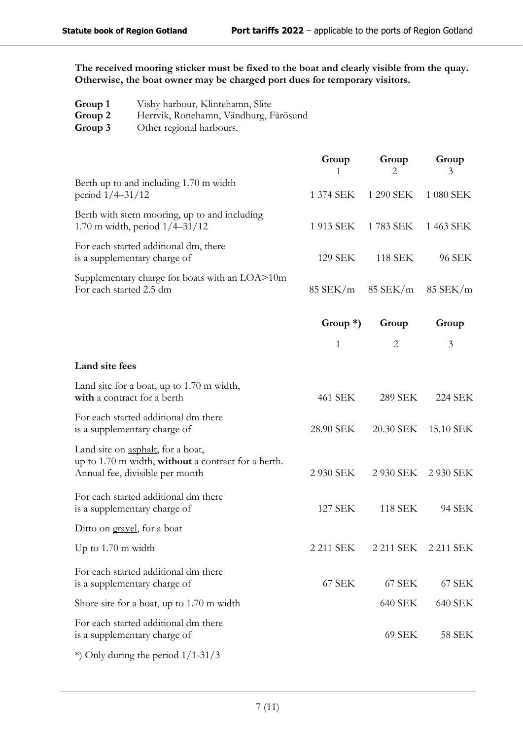**The received mooring sticker must be fixed to the boat and clearly visible from the quay. Otherwise, the boat owner may be charged port dues for temporary visitors.**

- **Group 1** Visby harbour, Klintehamn, Slite
- **Group 2** Herrvik, Ronehamn, Vändburg, Fårösund
- **Group 3** Other regional harbours.

|                                                                                                                             | Group<br>1   | Group<br>2     | Group<br>3     |
|-----------------------------------------------------------------------------------------------------------------------------|--------------|----------------|----------------|
| Berth up to and including 1.70 m width<br>period $1/4 - 31/12$                                                              | 1 374 SEK    | 1 290 SEK      | 1 080 SEK      |
| Berth with stern mooring, up to and including<br>1.70 m width, period $1/4 - 31/12$                                         | 1 913 SEK    | 1783 SEK       | 1 463 SEK      |
| For each started additional dm, there<br>is a supplementary charge of                                                       | 129 SEK      | <b>118 SEK</b> | 96 SEK         |
| Supplementary charge for boats with an LOA>10m<br>For each started 2.5 dm                                                   | $85$ SEK/m   | $85$ SEK/m     | $85$ SEK/m     |
|                                                                                                                             | Group $*)$   | Group          | Group          |
|                                                                                                                             | $\mathbf{1}$ | $\overline{2}$ | 3              |
| Land site fees                                                                                                              |              |                |                |
| Land site for a boat, up to 1.70 m width,<br>with a contract for a berth                                                    | 461 SEK      | <b>289 SEK</b> | <b>224 SEK</b> |
| For each started additional dm there<br>is a supplementary charge of                                                        | 28.90 SEK    | 20.30 SEK      | 15.10 SEK      |
| Land site on asphalt, for a boat,<br>up to 1.70 m width, without a contract for a berth.<br>Annual fee, divisible per month | 2 930 SEK    | 2 930 SEK      | 2 930 SEK      |
| For each started additional dm there<br>is a supplementary charge of                                                        | 127 SEK      | <b>118 SEK</b> | 94 SEK         |
| Ditto on gravel, for a boat                                                                                                 |              |                |                |
| Up to $1.70 \text{ m}$ width                                                                                                | 2 211 SEK    | 2 211 SEK      | 2 211 SEK      |
| For each started additional dm there<br>is a supplementary charge of                                                        | 67 SEK       | 67 SEK         | 67 SEK         |
| Shore site for a boat, up to 1.70 m width                                                                                   |              | 640 SEK        | 640 SEK        |
| For each started additional dm there<br>is a supplementary charge of                                                        |              | 69 SEK         | 58 SEK         |
| *) Only during the period $1/1-31/3$                                                                                        |              |                |                |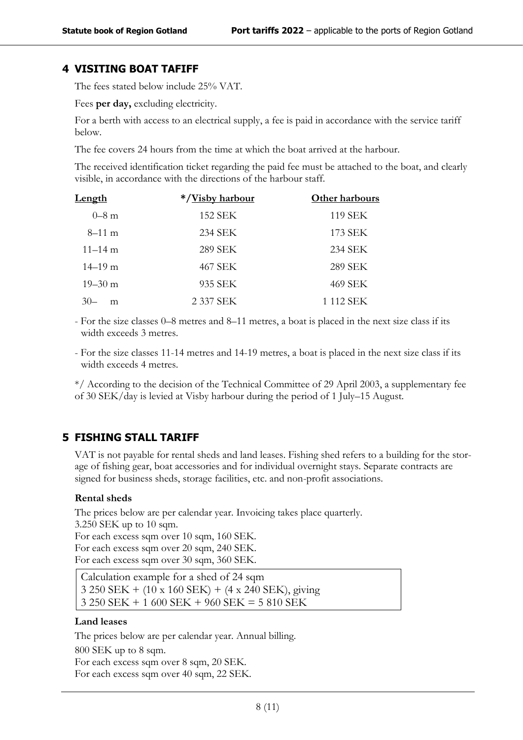# <span id="page-8-0"></span>**4 VISITING BOAT TAFIFF**

The fees stated below include 25% VAT.

Fees **per day,** excluding electricity.

For a berth with access to an electrical supply, a fee is paid in accordance with the service tariff below.

The fee covers 24 hours from the time at which the boat arrived at the harbour.

The received identification ticket regarding the paid fee must be attached to the boat, and clearly visible, in accordance with the directions of the harbour staff.

| Length      | */Visby harbour | Other harbours |  |
|-------------|-----------------|----------------|--|
| $0 - 8$ m   | 152 SEK         | 119 SEK        |  |
| $8-11$ m    | 234 SEK         | 173 SEK        |  |
| $11 - 14$ m | 289 SEK         | 234 SEK        |  |
| $14 - 19$ m | 467 SEK         | <b>289 SEK</b> |  |
| $19 - 30$ m | 935 SEK         | 469 SEK        |  |
| 3()<br>m    | 2 337 SEK       | 1 112 SEK      |  |

- For the size classes 0–8 metres and 8–11 metres, a boat is placed in the next size class if its width exceeds 3 metres.

- For the size classes 11-14 metres and 14-19 metres, a boat is placed in the next size class if its width exceeds 4 metres.

\*/ According to the decision of the Technical Committee of 29 April 2003, a supplementary fee of 30 SEK/day is levied at Visby harbour during the period of 1 July–15 August.

# <span id="page-8-1"></span>**5 FISHING STALL TARIFF**

VAT is not payable for rental sheds and land leases. Fishing shed refers to a building for the storage of fishing gear, boat accessories and for individual overnight stays. Separate contracts are signed for business sheds, storage facilities, etc. and non-profit associations.

#### **Rental sheds**

The prices below are per calendar year. Invoicing takes place quarterly. 3.250 SEK up to 10 sqm. For each excess sqm over 10 sqm, 160 SEK. For each excess sqm over 20 sqm, 240 SEK. For each excess sqm over 30 sqm, 360 SEK.

Calculation example for a shed of 24 sqm 3 250 SEK + (10 x 160 SEK) + (4 x 240 SEK), giving 3 250 SEK + 1 600 SEK + 960 SEK = 5 810 SEK

#### **Land leases**

The prices below are per calendar year. Annual billing. 800 SEK up to 8 sqm. For each excess sqm over 8 sqm, 20 SEK. For each excess sqm over 40 sqm, 22 SEK.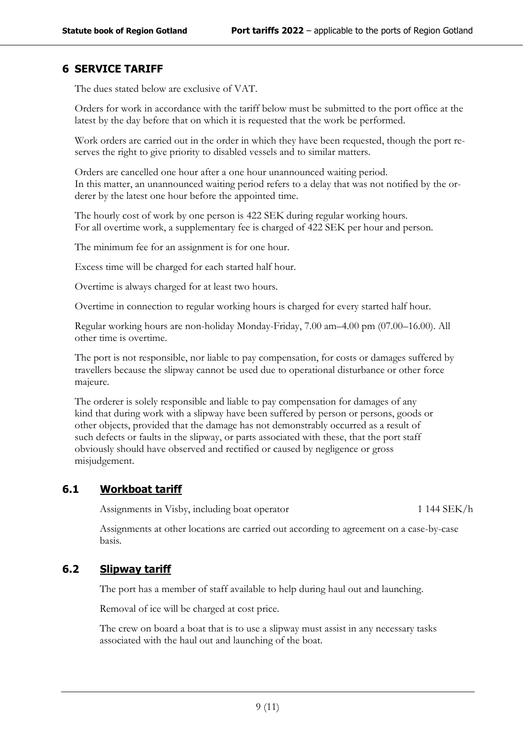# <span id="page-9-0"></span>**6 SERVICE TARIFF**

The dues stated below are exclusive of VAT.

Orders for work in accordance with the tariff below must be submitted to the port office at the latest by the day before that on which it is requested that the work be performed.

Work orders are carried out in the order in which they have been requested, though the port reserves the right to give priority to disabled vessels and to similar matters.

Orders are cancelled one hour after a one hour unannounced waiting period. In this matter, an unannounced waiting period refers to a delay that was not notified by the orderer by the latest one hour before the appointed time.

The hourly cost of work by one person is 422 SEK during regular working hours. For all overtime work, a supplementary fee is charged of 422 SEK per hour and person.

The minimum fee for an assignment is for one hour.

Excess time will be charged for each started half hour.

Overtime is always charged for at least two hours.

Overtime in connection to regular working hours is charged for every started half hour.

Regular working hours are non-holiday Monday-Friday, 7.00 am–4.00 pm (07.00–16.00). All other time is overtime.

The port is not responsible, nor liable to pay compensation, for costs or damages suffered by travellers because the slipway cannot be used due to operational disturbance or other force majeure.

The orderer is solely responsible and liable to pay compensation for damages of any kind that during work with a slipway have been suffered by person or persons, goods or other objects, provided that the damage has not demonstrably occurred as a result of such defects or faults in the slipway, or parts associated with these, that the port staff obviously should have observed and rectified or caused by negligence or gross misjudgement.

# **6.1 Workboat tariff**

<span id="page-9-1"></span>Assignments in Visby, including boat operator 1 144 SEK/h

<span id="page-9-2"></span>Assignments at other locations are carried out according to agreement on a case-by-case basis.

### **6.2 Slipway tariff**

The port has a member of staff available to help during haul out and launching.

Removal of ice will be charged at cost price.

The crew on board a boat that is to use a slipway must assist in any necessary tasks associated with the haul out and launching of the boat.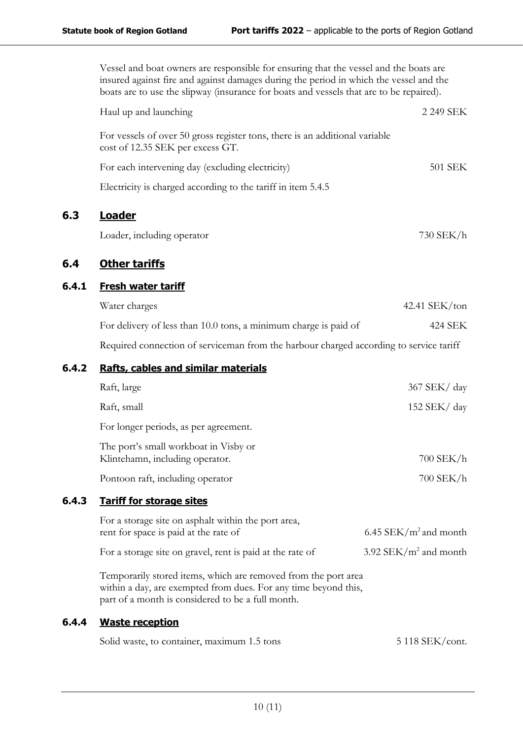Vessel and boat owners are responsible for ensuring that the vessel and the boats are insured against fire and against damages during the period in which the vessel and the boats are to use the slipway (insurance for boats and vessels that are to be repaired).

| Haul up and launching                                                                                           | 2 249 SEK |
|-----------------------------------------------------------------------------------------------------------------|-----------|
| For vessels of over 50 gross register tons, there is an additional variable<br>cost of 12.35 SEK per excess GT. |           |
| For each intervening day (excluding electricity)                                                                | 501 SEK   |
| Electricity is charged according to the tariff in item 5.4.5                                                    |           |
| .oader                                                                                                          |           |

Loader, including operator 730 SEK/h

# <span id="page-10-1"></span>**6.4 Other tariffs**

<span id="page-10-0"></span>**6.3 Loader**

<span id="page-10-4"></span>**6.4.3 Tariff for storage sites**

### <span id="page-10-2"></span>**6.4.1 Fresh water tariff**

| Water charges                                                                                                                     | $42.41$ SEK/ton |
|-----------------------------------------------------------------------------------------------------------------------------------|-----------------|
| For delivery of less than 10.0 tons, a minimum charge is paid of                                                                  | 424 SEK         |
| $\mathbf{n}$ . It is the contract of the contract of $\mathbf{c}$ is the contract of $\mathbf{c}$ in the contract of $\mathbf{c}$ |                 |

Required connection of serviceman from the harbour charged according to service tariff

### <span id="page-10-3"></span>**6.4.2 Rafts, cables and similar materials**

| Raft, large                                                                                                                                                                            | 367 SEK/ day              |
|----------------------------------------------------------------------------------------------------------------------------------------------------------------------------------------|---------------------------|
| Raft, small                                                                                                                                                                            | 152 SEK/ $day$            |
| For longer periods, as per agreement.                                                                                                                                                  |                           |
| The port's small workboat in Visby or<br>Klintehamn, including operator.                                                                                                               | $700$ SEK/h               |
| Pontoon raft, including operator                                                                                                                                                       | $700$ SEK/h               |
| <b>Tariff for storage sites</b>                                                                                                                                                        |                           |
| For a storage site on asphalt within the port area,<br>rent for space is paid at the rate of                                                                                           | 6.45 SEK/ $m^2$ and month |
| For a storage site on gravel, rent is paid at the rate of                                                                                                                              | 3.92 SEK/ $m^2$ and month |
| Temporarily stored items, which are removed from the port area<br>within a day, are exempted from dues. For any time beyond this,<br>part of a month is considered to be a full month. |                           |

### <span id="page-10-5"></span>**6.4.4 Waste reception**

| Solid waste, to container, maximum 1.5 tons | 5 118 SEK/cont. |
|---------------------------------------------|-----------------|
|---------------------------------------------|-----------------|